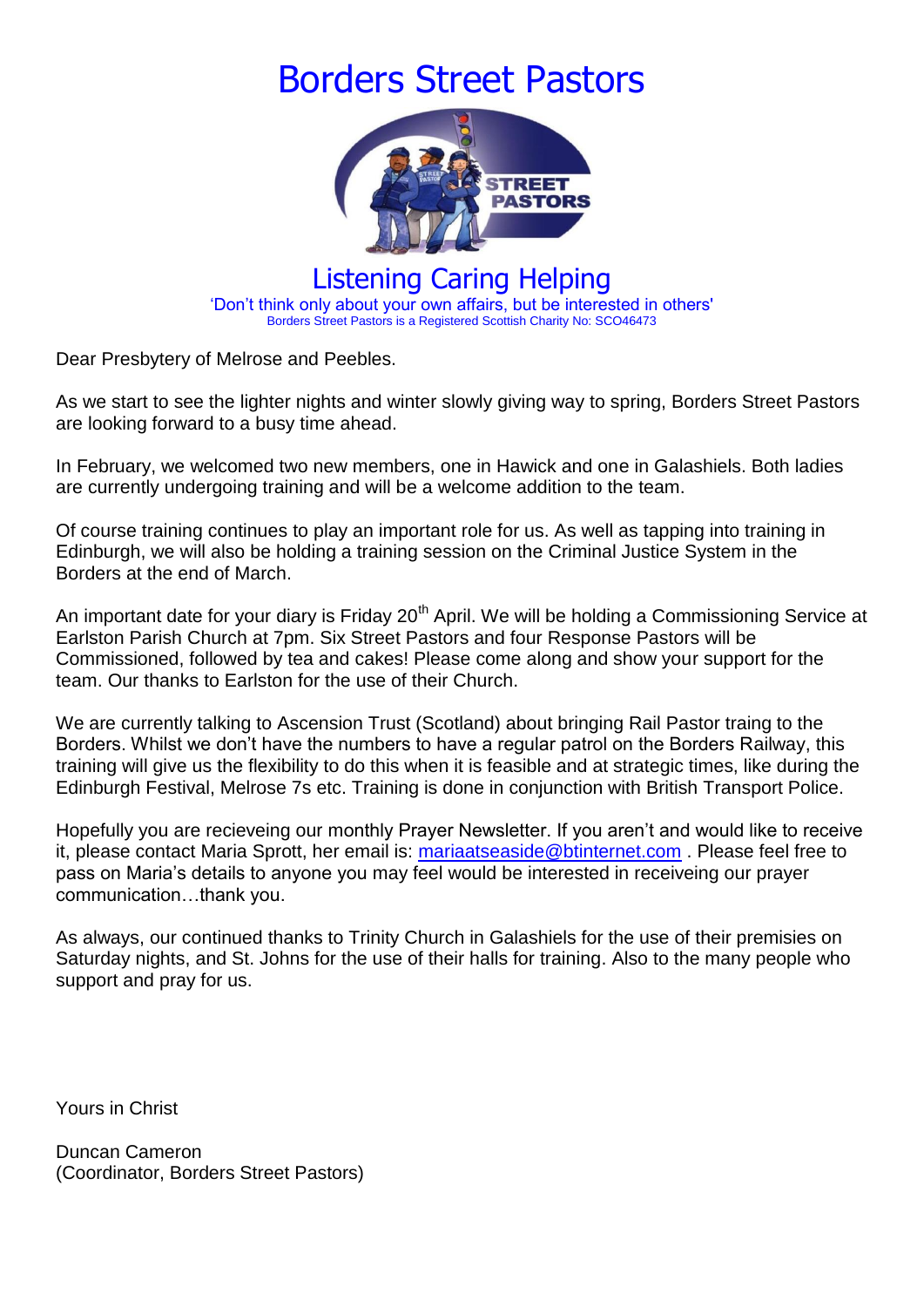## Borders Street Pastors



Listening Caring Helping 'Don't think only about your own affairs, but be interested in others' Borders Street Pastors is a Registered Scottish Charity No: SCO46473

Dear Presbytery of Melrose and Peebles.

As we start to see the lighter nights and winter slowly giving way to spring, Borders Street Pastors are looking forward to a busy time ahead.

In February, we welcomed two new members, one in Hawick and one in Galashiels. Both ladies are currently undergoing training and will be a welcome addition to the team.

Of course training continues to play an important role for us. As well as tapping into training in Edinburgh, we will also be holding a training session on the Criminal Justice System in the Borders at the end of March.

An important date for your diary is Friday 20<sup>th</sup> April. We will be holding a Commissioning Service at Earlston Parish Church at 7pm. Six Street Pastors and four Response Pastors will be Commissioned, followed by tea and cakes! Please come along and show your support for the team. Our thanks to Earlston for the use of their Church.

We are currently talking to Ascension Trust (Scotland) about bringing Rail Pastor traing to the Borders. Whilst we don't have the numbers to have a regular patrol on the Borders Railway, this training will give us the flexibility to do this when it is feasible and at strategic times, like during the Edinburgh Festival, Melrose 7s etc. Training is done in conjunction with British Transport Police.

Hopefully you are recieveing our monthly Prayer Newsletter. If you aren't and would like to receive it, please contact Maria Sprott, her email is: [mariaatseaside@btinternet.com](mailto:mariaatseaside@btinternet.com) . Please feel free to pass on Maria's details to anyone you may feel would be interested in receiveing our prayer communication…thank you.

As always, our continued thanks to Trinity Church in Galashiels for the use of their premisies on Saturday nights, and St. Johns for the use of their halls for training. Also to the many people who support and pray for us.

Yours in Christ

Duncan Cameron (Coordinator, Borders Street Pastors)